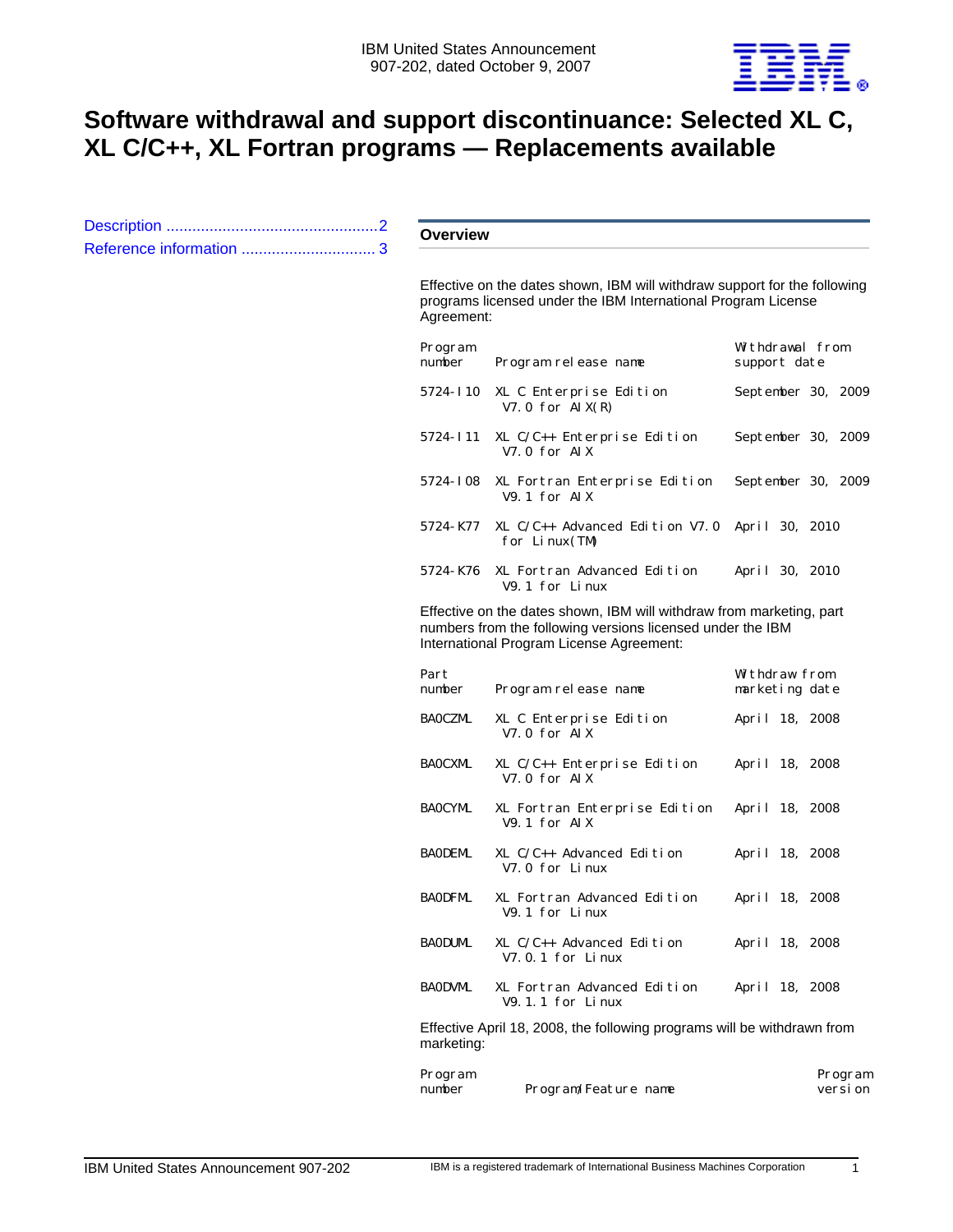

# **Software withdrawal and support discontinuance: Selected XL C, XL C/C++, XL Fortran programs — Replacements available**

|  | <b>Overview</b>                                                                                                                                                                |                                                        |                                 |  |  |  |
|--|--------------------------------------------------------------------------------------------------------------------------------------------------------------------------------|--------------------------------------------------------|---------------------------------|--|--|--|
|  | Effective on the dates shown, IBM will withdraw support for the following<br>programs licensed under the IBM International Program License<br>Agreement:                       |                                                        |                                 |  |  |  |
|  | Program<br>number                                                                                                                                                              | Program release name                                   | Withdrawal from<br>support date |  |  |  |
|  |                                                                                                                                                                                | 5724-I10 XL C Enterprise Edition<br>V7.0 for $AIX(R)$  | September 30, 2009              |  |  |  |
|  | 5724-I11                                                                                                                                                                       | XL C/C++ Enterprise Edition<br>V7.0 for AIX            | September 30, 2009              |  |  |  |
|  |                                                                                                                                                                                | 5724-I08 XL Fortran Enterprise Edition<br>V9.1 for AIX | September 30, 2009              |  |  |  |
|  | 5724-K77                                                                                                                                                                       | XL $C/C_{++}$ Advanced Edition V7.0<br>for $Linux(TM)$ | April 30, 2010                  |  |  |  |
|  | 5724-K76                                                                                                                                                                       | XL Fortran Advanced Edition<br>V9.1 for Linux          | April 30, 2010                  |  |  |  |
|  | Effective on the dates shown, IBM will withdraw from marketing, part<br>numbers from the following versions licensed under the IBM<br>International Program License Agreement: |                                                        |                                 |  |  |  |
|  | Part<br>number                                                                                                                                                                 | Program release name                                   | Withdraw from<br>marketing date |  |  |  |
|  | <b>BAOCZML</b>                                                                                                                                                                 | XL C Enterprise Edition<br>V7.0 for AIX                | April 18, 2008                  |  |  |  |
|  | <b>BAOCXML</b>                                                                                                                                                                 | $XL$ C/C++ Enterprise Edition<br>V7.0 for AIX          | April 18, 2008                  |  |  |  |
|  | <b>BAOCYML</b>                                                                                                                                                                 | XL Fortran Enterprise Edition<br>V9.1 for AIX          | April 18, 2008                  |  |  |  |
|  | <b>BAODEML</b>                                                                                                                                                                 | XL $C/C_{++}$ Advanced Edition<br>V7.0 for Linux       | April 18, 2008                  |  |  |  |
|  | <b>BAODFML</b>                                                                                                                                                                 | XL Fortran Advanced Edition<br>V9.1 for Linux          | April 18, 2008                  |  |  |  |
|  | <b>BAODUML</b>                                                                                                                                                                 | $XL$ $C/C++$ Advanced Edition<br>$V7.0.1$ for Linux    | April 18, 2008                  |  |  |  |
|  | <b>BAODVML</b>                                                                                                                                                                 | XL Fortran Advanced Edition<br>$V9.1.1$ for Linux      | April 18, 2008                  |  |  |  |
|  | Effective April 18, 2008, the following programs will be withdrawn from<br>marketing:                                                                                          |                                                        |                                 |  |  |  |
|  | Program<br>number                                                                                                                                                              | Program/Feature name                                   | Program<br>versi on             |  |  |  |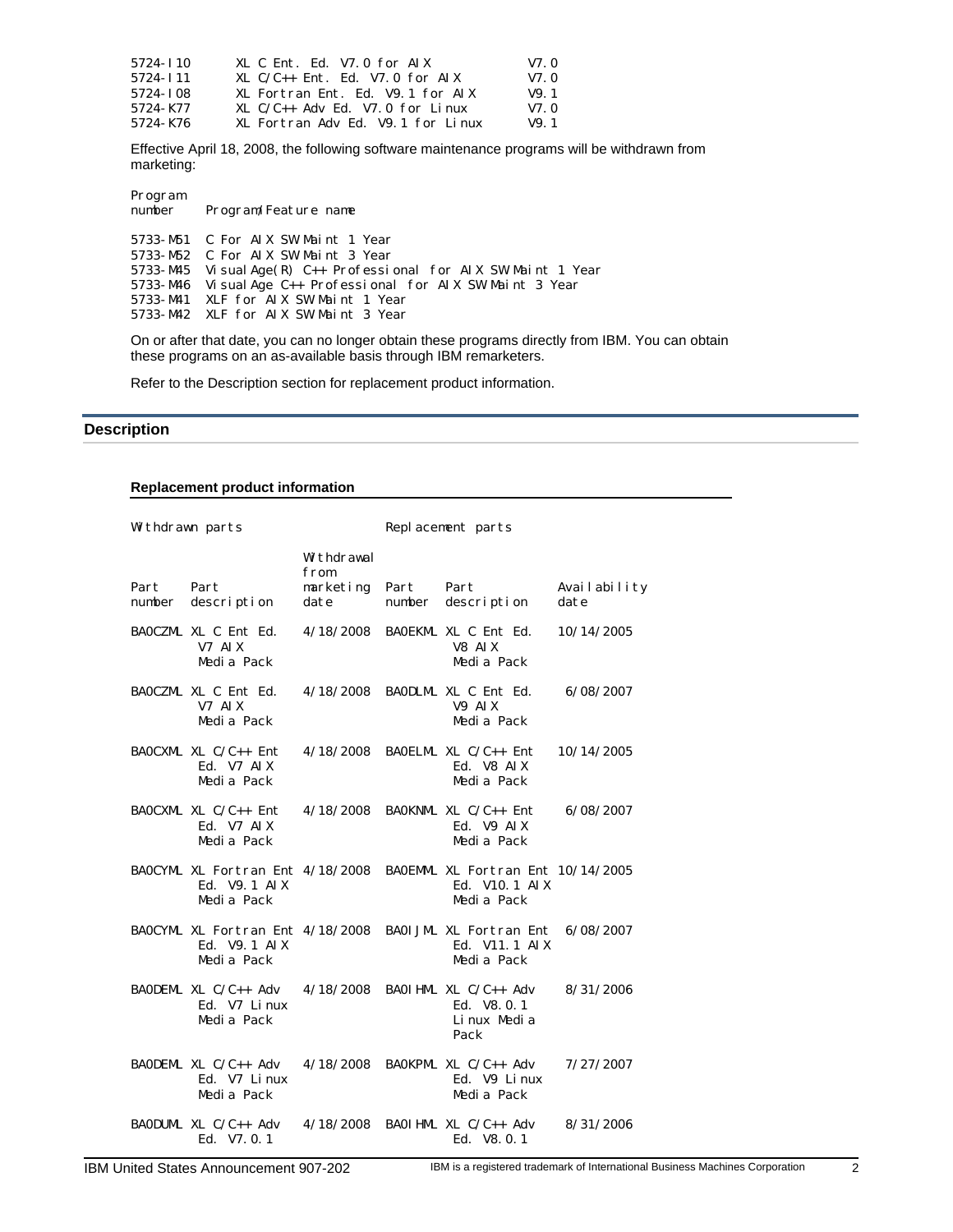| 5724-T <sub>10</sub> | XL C Ent. Ed. V7.0 for AIX           | V7.0 |
|----------------------|--------------------------------------|------|
| 5724-T11             | $XL C/C++ Ent. Ed. V7.0 for AIX$     | V7.0 |
| 5724 - I 08          | XL Fortran Ent. Ed. V9.1 for AIX     | V9.1 |
| 5724 - K77           | $XL C/C_{++}$ Adv Ed. V7.0 for Linux | V7.0 |
| 5724-K76             | XL Fortran Adv Ed. V9.1 for Linux    | V9.1 |

Effective April 18, 2008, the following software maintenance programs will be withdrawn from marketing:

| Program<br>number | Program/Feature name                                                |
|-------------------|---------------------------------------------------------------------|
|                   | 5733-M51 C For AIX SW Maint 1 Year                                  |
|                   | 5733-M52 C For AIX SW Maint 3 Year                                  |
|                   | 5733-M45 Vi sual Age $(R)$ C++ Professional for AIX SW Maint 1 Year |
|                   | 5733-M46 Visual Age C++ Professional for AIX SW Maint 3 Year        |
|                   | 5733-M41 XLF for AIX SW Maint 1 Year                                |
|                   | 5733-M42 XLF for AIX SW Maint 3 Year                                |
|                   |                                                                     |

On or after that date, you can no longer obtain these programs directly from IBM. You can obtain these programs on an as-available basis through IBM remarketers.

Refer to the Description section for replacement product information.

## <span id="page-1-0"></span>**Description**

# **Replacement product information**

| Withdrawn parts |                                                                 | Replacement parts                       |                |                                                                                            |                      |
|-----------------|-----------------------------------------------------------------|-----------------------------------------|----------------|--------------------------------------------------------------------------------------------|----------------------|
| Part<br>number  | Part<br>description                                             | Withdrawal<br>from<br>marketing<br>date | Part<br>number | Part<br>description                                                                        | Availability<br>date |
|                 | BAOCZML XL C Ent Ed.<br>V7 AIX<br>Media Pack                    | 4/18/2008                               |                | BAOEKML XL C Ent Ed.<br>V8 AIX<br>Media Pack                                               | 10/14/2005           |
|                 | BAOCZML XL C Ent Ed.<br>V7 AIX<br>Media Pack                    | 4/18/2008                               |                | BAODLML XL C Ent Ed.<br>V9 AIX<br>Media Pack                                               | 6/08/2007            |
|                 | BAOCXML XL $C/C_{++}$ Ent<br>Ed. V7 AIX<br>Media Pack           | 4/18/2008                               |                | BAOELML XL $C/C_{++}$ Ent<br>Ed. V8 AIX<br>Media Pack                                      | 10/14/2005           |
|                 | BAOCXML XL $C/C_{++}$ Ent<br>Ed. V7 AIX<br>Media Pack           | 4/18/2008                               |                | BAOKNML XL C/C++ Ent<br>Ed. V9 AIX<br>Media Pack                                           | 6/08/2007            |
|                 | BAOCYML XL Fortran Ent 4/18/2008<br>Ed. V9. 1 AIX<br>Media Pack |                                         |                | BAOEMML XL Fortran Ent 10/14/2005<br>Ed. V <sub>10</sub> . 1 A <sub>IX</sub><br>Media Pack |                      |
|                 | BAOCYML XL Fortran Ent 4/18/2008<br>Ed. V9. 1 AIX<br>Media Pack |                                         |                | BAOI JML XL Fortran Ent<br>Ed. V11. 1 AIX<br>Media Pack                                    | 6/08/2007            |
|                 | BAODEML XL C/C++ Adv<br>Ed. V7 Linux<br>Media Pack              | 4/18/2008                               |                | BAOI HML XL $C/C_{++}$ Adv<br>Ed. V8.0.1<br>Linux Media<br>Pack                            | 8/31/2006            |
|                 | BAODEML XL C/C++ Adv<br>Ed. V7 Linux<br>Media Pack              | 4/18/2008                               |                | BAOKPML XL C/C++ Adv<br>Ed. V9 Linux<br>Media Pack                                         | 7/27/2007            |
|                 | BAODUML XL $C/C_{++}$ Adv<br>Ed. V7.0.1                         | 4/18/2008                               |                | BAOI HML XL $C/C_{++}$ Adv<br>Ed. V8.0.1                                                   | 8/31/2006            |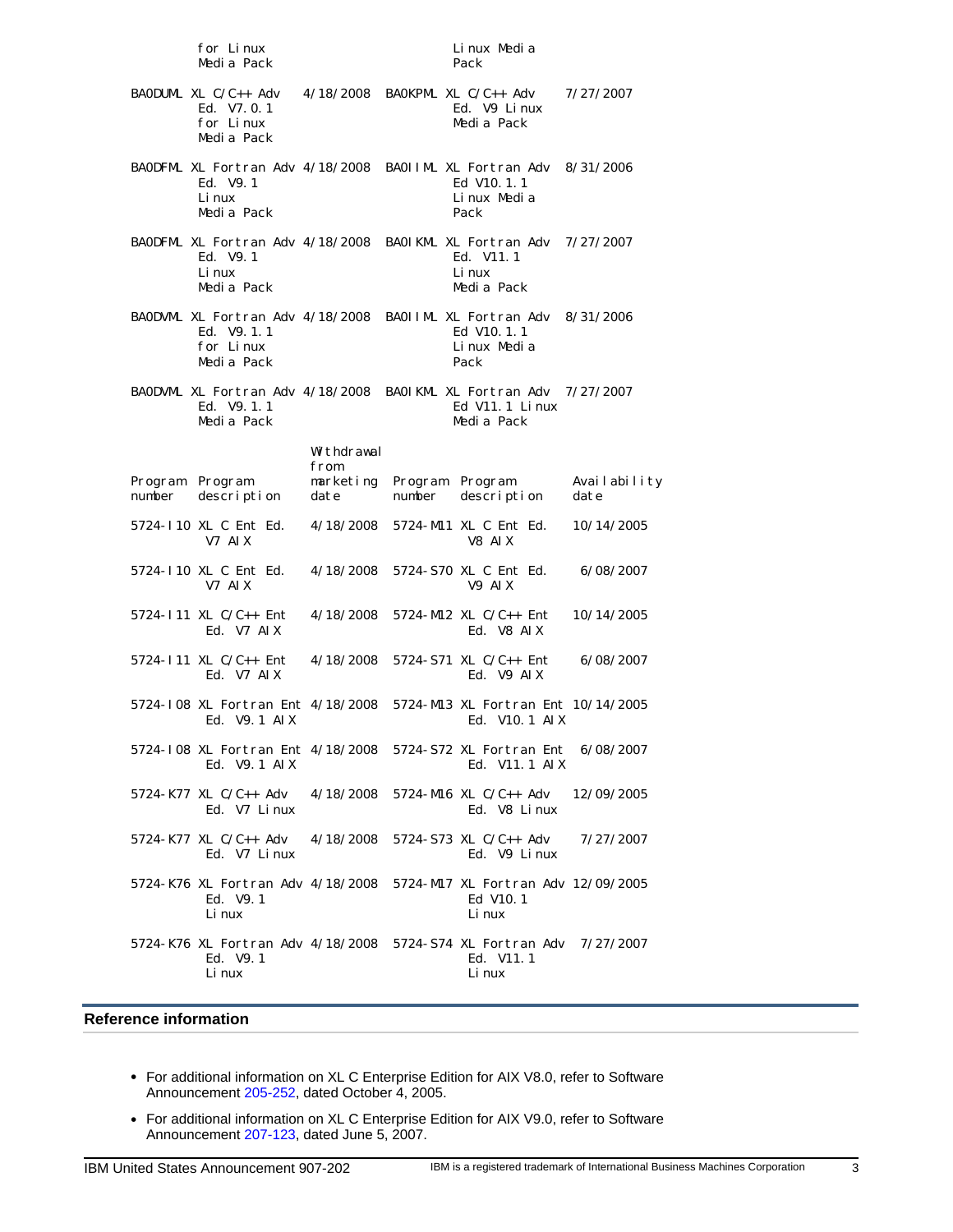| for Linux<br>Media Pack                                                                               |                           |                   | Linux Media<br>Pack                                                                  |                      |
|-------------------------------------------------------------------------------------------------------|---------------------------|-------------------|--------------------------------------------------------------------------------------|----------------------|
| BAODUML XL $C/C_{++}$ Adv<br>Ed. V7.0.1<br>for Linux<br>Media Pack                                    |                           |                   | $4/18/2008$ BAOKPML XL C/C++ Adv<br>Ed. V9 Linux<br>Media Pack                       | 7/27/2007            |
| BAODFML XL Fortran Adv 4/18/2008 BAOIIML XL Fortran Adv 8/31/2006<br>Ed. V9.1<br>Li nux<br>Media Pack |                           |                   | Ed V <sub>10</sub> . 1. 1<br>Linux Media<br>Pack                                     |                      |
| BAODFML XL Fortran Adv 4/18/2008 BAOIKML XL Fortran Adv 7/27/2007<br>Ed. V9.1<br>Li nux<br>Media Pack |                           |                   | Ed. V11.1<br>Li nux<br>Media Pack                                                    |                      |
| BAODVML XL Fortran Adv 4/18/2008<br>Ed. V9. 1. 1<br>for Linux<br>Media Pack                           |                           |                   | BAOIIML XL Fortran Adv 8/31/2006<br>Ed V <sub>10</sub> . 1. 1<br>Linux Media<br>Pack |                      |
| BAODVML XL Fortran Adv 4/18/2008 BAOIKML XL Fortran Adv 7/27/2007<br>Ed. V9. 1.1<br>Media Pack        |                           |                   | Ed V11. 1 Linux<br>Media Pack                                                        |                      |
|                                                                                                       | Withdrawal                |                   |                                                                                      |                      |
| Program<br>Program<br>description<br>number                                                           | from<br>marketing<br>date | Program<br>number | Program<br>description                                                               | Availability<br>date |
| 5724-110 XL C Ent Ed.<br>V7 AIX                                                                       | 4/18/2008                 |                   | 5724-M11 XL C Ent Ed.<br>V8 AIX                                                      | 10/14/2005           |
| 5724-110 XL C Ent Ed.<br>V7 AIX                                                                       | 4/18/2008                 |                   | 5724-S70 XL C Ent Ed.<br>V9 AIX                                                      | 6/08/2007            |
| 5724-111 XL C/C++ Ent<br>Ed. V7 AIX                                                                   | 4/18/2008                 |                   | 5724-M12 XL $C/C_{++}$ Ent<br>Ed. V8 AIX                                             | 10/14/2005           |
| 5724-111 XL C/C++ Ent<br>Ed. V7 AIX                                                                   | 4/18/2008                 |                   | 5724-S71 XL $C/C_{++}$ Ent.<br>Ed. V9 AIX                                            | 6/08/2007            |
| 5724-I08 XL Fortran Ent 4/18/2008<br>Ed. V9. 1 AIX                                                    |                           |                   | 5724-M13 XL Fortran Ent 10/14/2005<br>Ed. V10. 1 AIX                                 |                      |
| 5724-I08 XL Fortran Ent 4/18/2008 5724-S72 XL Fortran Ent 6/08/2007<br>Ed. $V9.1$ ATX                 |                           |                   | Ed. V11.1 AIX                                                                        |                      |
| 5724-K77 XL C/C++ Adv<br>Ed. V7 Linux                                                                 | 4/18/2008                 |                   | 5724-M16 XL $C/C_{++}$ Adv<br>Ed. V8 Linux                                           | 12/09/2005           |
| 5724-K77 XL C/C++ Adv<br>Ed. V7 Linux                                                                 | 4/18/2008                 |                   | 5724-S73 XL C/C++ Adv<br>Ed. V9 Linux                                                | 7/27/2007            |
| 5724-K76 XL Fortran Adv 4/18/2008<br>Ed. V9.1<br>Li nux                                               |                           |                   | 5724-M17 XL Fortran Adv 12/09/2005<br>Ed V10.1<br>Li nux                             |                      |
| 5724-K76 XL Fortran Adv 4/18/2008 5724-S74 XL Fortran Adv 7/27/2007<br>Ed. V9.1<br>Li nux             |                           |                   | Ed. V11.1<br>Li nux                                                                  |                      |

## <span id="page-2-0"></span>**Reference information**

- For additional information on XL C Enterprise Edition for AIX V8.0, refer to Software Announcement [205-252](http://www.ibm.com/common/ssi/fcgi-bin/ssialias?infotype=AN&subtype=CA&htmlfid=897/ENUS205-252&appname=USN), dated October 4, 2005.
- For additional information on XL C Enterprise Edition for AIX V9.0, refer to Software Announcement [207-123](http://www.ibm.com/common/ssi/fcgi-bin/ssialias?infotype=AN&subtype=CA&htmlfid=897/ENUS207-123&appname=USN), dated June 5, 2007.